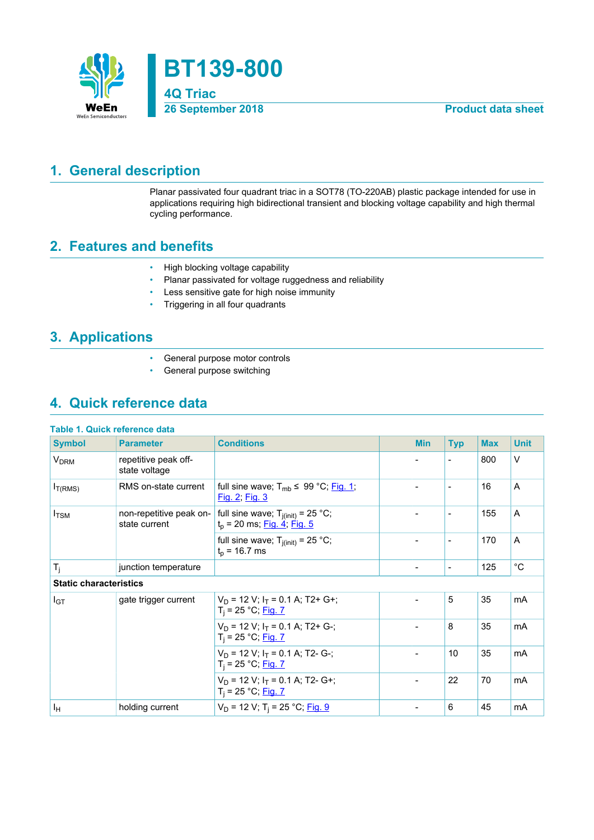

## <span id="page-0-0"></span>**1. General description**

Planar passivated four quadrant triac in a SOT78 (TO-220AB) plastic package intended for use in applications requiring high bidirectional transient and blocking voltage capability and high thermal cycling performance.

## <span id="page-0-1"></span>**2. Features and benefits**

- High blocking voltage capability
- Planar passivated for voltage ruggedness and reliability
- Less sensitive gate for high noise immunity
- Triggering in all four quadrants

## <span id="page-0-2"></span>**3. Applications**

- General purpose motor controls
- General purpose switching

## <span id="page-0-3"></span>**4. Quick reference data**

|  | Table 1. Quick reference data |  |
|--|-------------------------------|--|
|  |                               |  |

| <b>Symbol</b>                 | <b>Parameter</b>                         | <b>Conditions</b>                                                      | <b>Min</b>               | <b>Typ</b>               | <b>Max</b> | <b>Unit</b> |
|-------------------------------|------------------------------------------|------------------------------------------------------------------------|--------------------------|--------------------------|------------|-------------|
| <b>V<sub>DRM</sub></b>        | repetitive peak off-<br>state voltage    |                                                                        |                          | $\blacksquare$           | 800        | $\vee$      |
| I <sub>T(RMS)</sub>           | RMS on-state current                     | full sine wave; $T_{mb} \leq 99 \degree C$ ; Fig. 1;<br>Fig. 2; Fig. 3 |                          | $\overline{\phantom{0}}$ | 16         | A           |
| $I_{TSM}$                     | non-repetitive peak on-<br>state current | full sine wave; $T_{j(int)} = 25$ °C;<br>$t_p$ = 20 ms; Fig. 4; Fig. 5 |                          | $\overline{\phantom{a}}$ | 155        | A           |
|                               |                                          | full sine wave; $T_{i(int)} = 25$ °C;<br>$t_p$ = 16.7 ms               |                          | $\overline{\phantom{a}}$ | 170        | A           |
| $T_i$                         | junction temperature                     |                                                                        | $\overline{\phantom{a}}$ | $\overline{\phantom{a}}$ | 125        | $^{\circ}C$ |
| <b>Static characteristics</b> |                                          |                                                                        |                          |                          |            |             |
| I <sub>GT</sub>               | gate trigger current                     | $V_D$ = 12 V; $I_T$ = 0.1 A; T2+ G+;<br>$T_i = 25 °C;$ Fig. 7          |                          | 5                        | 35         | mA          |
|                               |                                          | $V_D$ = 12 V; $I_T$ = 0.1 A; T2+ G-;<br>$T_i = 25 °C;$ Fig. 7          |                          | 8                        | 35         | mA          |
|                               |                                          | $V_D$ = 12 V; $I_T$ = 0.1 A; T2- G-;<br>$T_i = 25 °C;$ Fig. 7          |                          | 10                       | 35         | mA          |
|                               |                                          | $V_D$ = 12 V; $I_T$ = 0.1 A; T2- G+;<br>$T_i = 25 °C;$ Fig. 7          |                          | 22                       | 70         | mA          |
| Iн                            | holding current                          | $V_D$ = 12 V; T <sub>i</sub> = 25 °C; Fig. 9                           |                          | 6                        | 45         | mA          |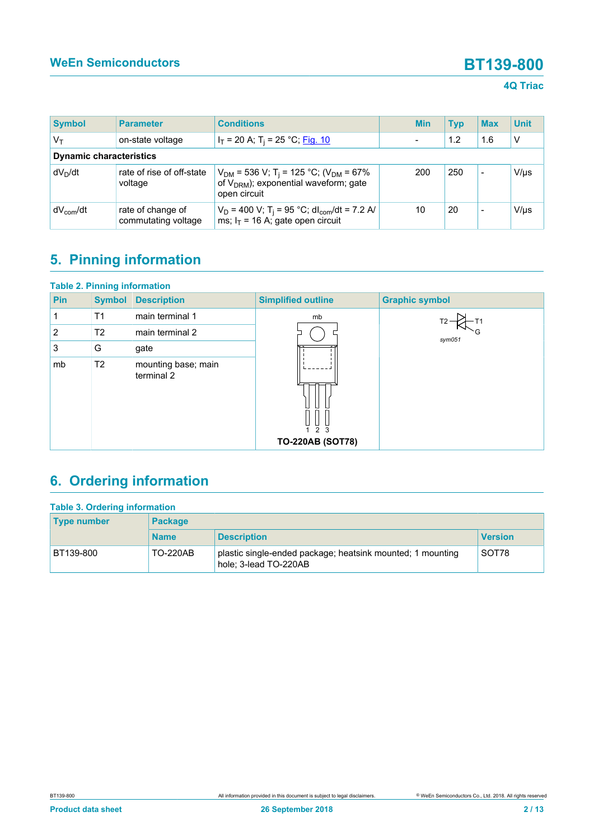### **4Q Triac**

| <b>Symbol</b>                  | <b>Parameter</b>                         | <b>Conditions</b>                                                                                                               |  | <b>Min</b> | <b>Typ</b> | <b>Max</b>               | <b>Unit</b> |
|--------------------------------|------------------------------------------|---------------------------------------------------------------------------------------------------------------------------------|--|------------|------------|--------------------------|-------------|
| $\mathsf{V}_\mathsf{T}$        | on-state voltage                         | $I_T$ = 20 A; T <sub>i</sub> = 25 °C; <u>Fig. 10</u>                                                                            |  |            | 1.2        | 1.6                      | v           |
| <b>Dynamic characteristics</b> |                                          |                                                                                                                                 |  |            |            |                          |             |
| dV <sub>n</sub> /dt            | rate of rise of off-state<br>voltage     | $V_{DM}$ = 536 V; T <sub>i</sub> = 125 °C; (V <sub>DM</sub> = 67%<br>of $V_{DRM}$ ); exponential waveform; gate<br>open circuit |  | 200        | 250        | $\overline{\phantom{0}}$ | $V/\mu s$   |
| $dV_{com}/dt$                  | rate of change of<br>commutating voltage | $V_D$ = 400 V; T <sub>i</sub> = 95 °C; dl <sub>com</sub> /dt = 7.2 A/<br>ms; $I_T$ = 16 A; gate open circuit                    |  | 10         | 20         |                          | $V/\mu s$   |

# <span id="page-1-0"></span>**5. Pinning information**

| <b>Table 2. Pinning information</b> |                |                                   |                           |                       |
|-------------------------------------|----------------|-----------------------------------|---------------------------|-----------------------|
| <b>Pin</b>                          | <b>Symbol</b>  | <b>Description</b>                | <b>Simplified outline</b> | <b>Graphic symbol</b> |
|                                     | T <sub>1</sub> | main terminal 1                   | mb                        |                       |
| $\overline{2}$                      | T <sub>2</sub> | main terminal 2                   |                           | sym051                |
| 3                                   | G              | gate                              |                           |                       |
| mb                                  | T <sub>2</sub> | mounting base; main<br>terminal 2 | 2 <sub>3</sub>            |                       |
|                                     |                |                                   | <b>TO-220AB (SOT78)</b>   |                       |

# <span id="page-1-1"></span>**6. Ordering information**

| <b>Table 3. Ordering information</b> |                 |                                                                                     |                |  |  |  |
|--------------------------------------|-----------------|-------------------------------------------------------------------------------------|----------------|--|--|--|
| <b>Type number</b>                   | <b>Package</b>  |                                                                                     |                |  |  |  |
|                                      | <b>Name</b>     | <b>Description</b>                                                                  | <b>Version</b> |  |  |  |
| BT139-800                            | <b>TO-220AB</b> | plastic single-ended package; heatsink mounted; 1 mounting<br>hole: 3-lead TO-220AB | SOT78          |  |  |  |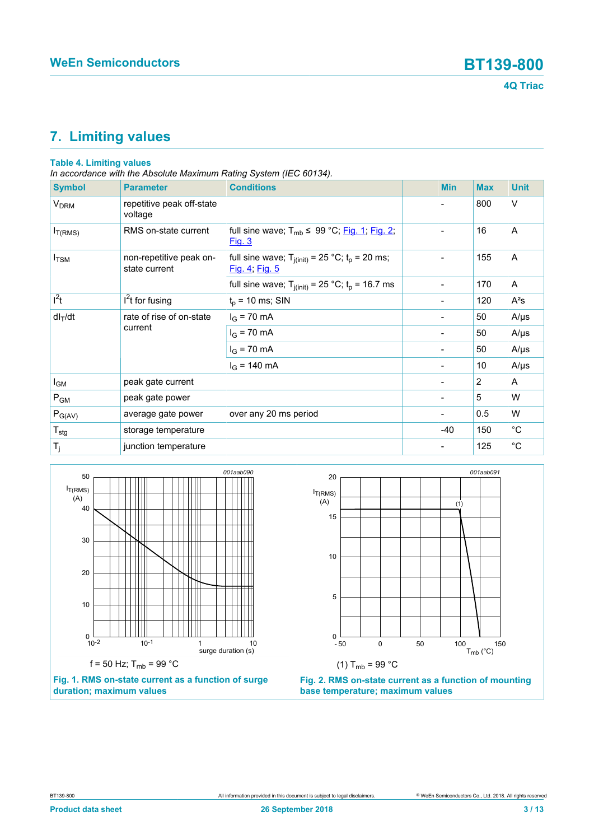# <span id="page-2-2"></span>**7. Limiting values**

### **Table 4. Limiting values**

*In accordance with the Absolute Maximum Rating System (IEC 60134).*

| <b>Symbol</b>          | <b>Parameter</b>                         | <b>Conditions</b>                                                       | <b>Min</b>                   | <b>Max</b> | <b>Unit</b> |
|------------------------|------------------------------------------|-------------------------------------------------------------------------|------------------------------|------------|-------------|
| <b>V<sub>DRM</sub></b> | repetitive peak off-state<br>voltage     |                                                                         |                              | 800        | $\vee$      |
| $I_{T(RMS)}$           | RMS on-state current                     | full sine wave; $T_{mb} \leq 99$ °C; Fig. 1; Fig. 2;<br>Fig. 3          |                              | 16         | A           |
| $I_{\text{TSM}}$       | non-repetitive peak on-<br>state current | full sine wave; $T_{j(int)} = 25 °C$ ; $t_p = 20$ ms;<br>Fig. 4; Fig. 5 | $\qquad \qquad \blacksquare$ | 155        | A           |
|                        |                                          | full sine wave; $T_{j(int)} = 25$ °C; $t_p = 16.7$ ms                   | $\blacksquare$               | 170        | A           |
| $I^2t$                 | $I2t$ for fusing                         | $t_p$ = 10 ms; SIN                                                      | -                            | 120        | $A^2s$      |
| $dl_T/dt$              | rate of rise of on-state<br>current      | $I_G$ = 70 mA                                                           | $\overline{\phantom{a}}$     | 50         | $A/\mu s$   |
|                        |                                          | $I_G$ = 70 mA                                                           |                              | 50         | $A/\mu s$   |
|                        |                                          | $I_G$ = 70 mA                                                           | $\blacksquare$               | 50         | $A/\mu s$   |
|                        |                                          | $I_G$ = 140 mA                                                          | $\overline{\phantom{a}}$     | 10         | $A/\mu s$   |
| I <sub>GM</sub>        | peak gate current                        |                                                                         |                              | 2          | A           |
| $P_{GM}$               | peak gate power                          |                                                                         |                              | 5          | W           |
| $P_{G(AV)}$            | average gate power                       | over any 20 ms period                                                   | $\qquad \qquad \blacksquare$ | 0.5        | W           |
| $T_{\text{stg}}$       | storage temperature                      |                                                                         | $-40$                        | 150        | $^{\circ}C$ |
| $T_j$                  | junction temperature                     |                                                                         | -                            | 125        | $^{\circ}C$ |

<span id="page-2-0"></span>



<span id="page-2-1"></span>

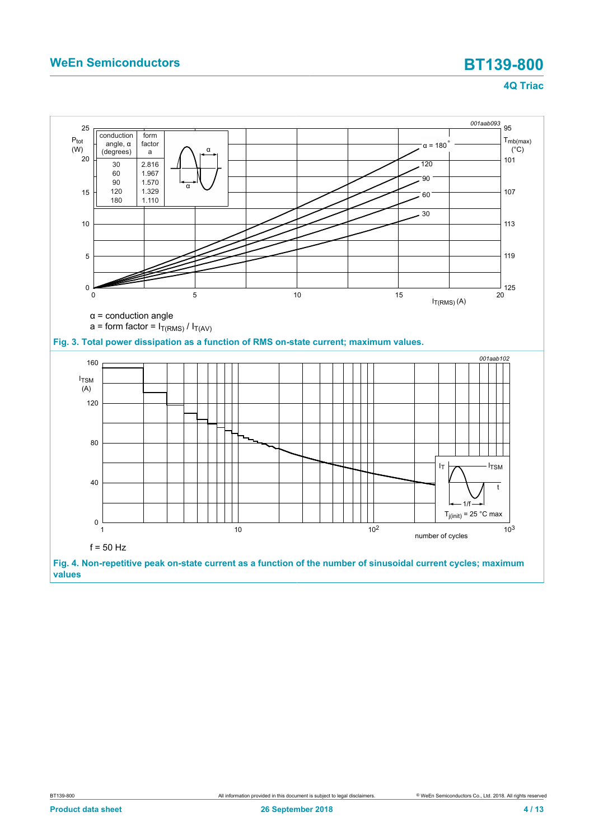<span id="page-3-1"></span><span id="page-3-0"></span>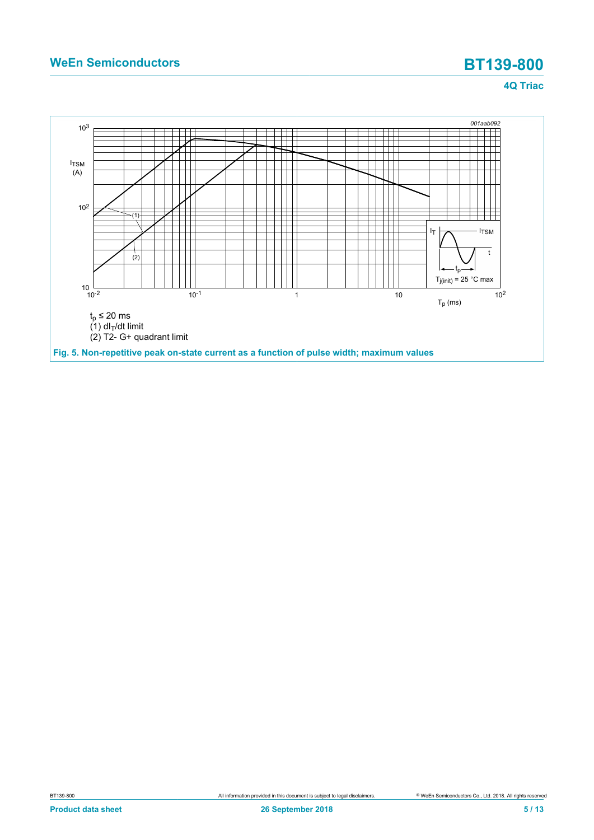<span id="page-4-0"></span>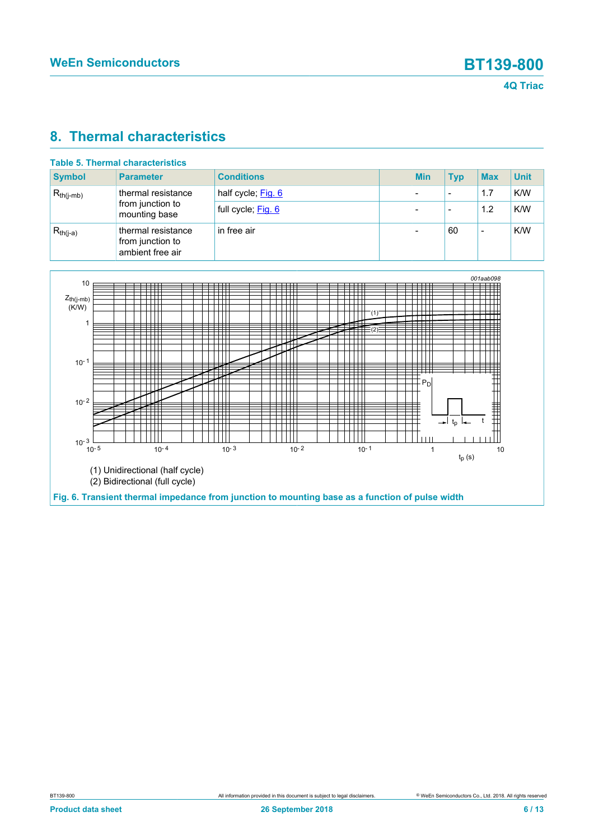### <span id="page-5-1"></span>**8. Thermal characteristics**

| Table 5. Thermal characteristics |                                                            |                    |  |            |                          |            |             |
|----------------------------------|------------------------------------------------------------|--------------------|--|------------|--------------------------|------------|-------------|
| <b>Symbol</b>                    | <b>Parameter</b>                                           | <b>Conditions</b>  |  | <b>Min</b> | <b>Typ</b>               | <b>Max</b> | <b>Unit</b> |
| $R_{th(i-mb)}$                   | thermal resistance                                         | half cycle; Fig. 6 |  |            | $\overline{\phantom{a}}$ | 1.7        | K/W         |
|                                  | from junction to<br>mounting base                          | full cycle; Fig. 6 |  |            |                          | 1.2        | K/W         |
| $R_{th(i-a)}$                    | thermal resistance<br>from junction to<br>ambient free air | in free air        |  |            | 60                       | -          | K/W         |

<span id="page-5-0"></span>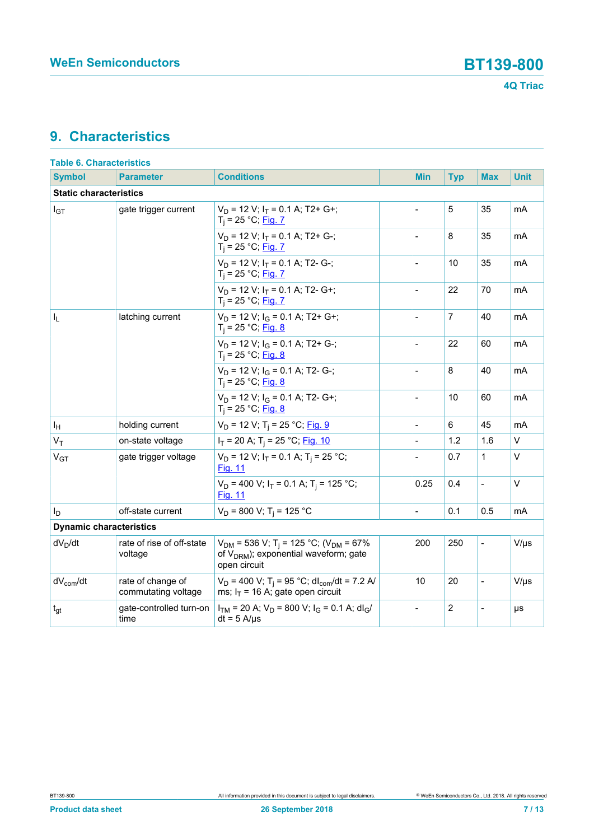## <span id="page-6-0"></span>**9. Characteristics**

| <b>Table 6. Characteristics</b> |                                          |                                                                                                                                        |                          |            |                          |             |
|---------------------------------|------------------------------------------|----------------------------------------------------------------------------------------------------------------------------------------|--------------------------|------------|--------------------------|-------------|
| <b>Symbol</b>                   | <b>Parameter</b>                         | <b>Conditions</b>                                                                                                                      | Min                      | <b>Typ</b> | <b>Max</b>               | <b>Unit</b> |
| <b>Static characteristics</b>   |                                          |                                                                                                                                        |                          |            |                          |             |
| $I_{GT}$                        | gate trigger current                     | $V_D$ = 12 V; $I_T$ = 0.1 A; T2+ G+;<br>$T_i = 25 °C;$ Fig. 7                                                                          | $\overline{a}$           | 5          | 35                       | mA          |
|                                 |                                          | $V_D$ = 12 V; $I_T$ = 0.1 A; T2+ G-;<br>$T_i = 25 °C;$ Fig. 7                                                                          | $\overline{\phantom{a}}$ | 8          | 35                       | mA          |
|                                 |                                          | $V_D$ = 12 V; $I_T$ = 0.1 A; T2- G-;<br>$T_i = 25 °C;$ Fig. 7                                                                          |                          | 10         | 35                       | mA          |
|                                 |                                          | $V_D$ = 12 V; $I_T$ = 0.1 A; T2- G+;<br>$T_i = 25 °C;$ Fig. 7                                                                          |                          | 22         | 70                       | mA          |
| I <sub>L</sub>                  | latching current                         | $V_D$ = 12 V; $I_G$ = 0.1 A; T2+ G+;<br>$T_i = 25 °C;$ Fig. 8                                                                          | $\overline{a}$           | 7          | 40                       | mA          |
|                                 |                                          | $V_D$ = 12 V; $I_G$ = 0.1 A; T2+ G-;<br>$T_i = 25 °C;$ Fig. 8                                                                          | $\overline{a}$           | 22         | 60                       | mA          |
|                                 |                                          | $V_D$ = 12 V; $I_G$ = 0.1 A; T2- G-;<br>$T_i = 25 °C;$ Fig. 8                                                                          |                          | 8          | 40                       | mA          |
|                                 |                                          | $V_D$ = 12 V; $I_G$ = 0.1 A; T2- G+;<br>$T_i = 25 °C;$ Fig. 8                                                                          | $\overline{a}$           | 10         | 60                       | mA          |
| ΙH                              | holding current                          | $V_D$ = 12 V; T <sub>i</sub> = 25 °C; Fig. 9                                                                                           | $\overline{\phantom{a}}$ | 6          | 45                       | mA          |
| $V_T$                           | on-state voltage                         | $I_T$ = 20 A; T <sub>i</sub> = 25 °C; Fig. 10                                                                                          |                          | 1.2        | 1.6                      | $\vee$      |
| V <sub>GT</sub>                 | gate trigger voltage                     | $V_D$ = 12 V; $I_T$ = 0.1 A; T <sub>i</sub> = 25 °C;<br>Fig. 11                                                                        |                          | 0.7        | 1                        | $\vee$      |
|                                 |                                          | $V_D$ = 400 V; $I_T$ = 0.1 A; T <sub>i</sub> = 125 °C;<br>Fig. 11                                                                      | 0.25                     | 0.4        | $\overline{\phantom{0}}$ | $\vee$      |
| I <sub>D</sub>                  | off-state current                        | $V_D$ = 800 V; T <sub>i</sub> = 125 °C                                                                                                 | $\overline{\phantom{0}}$ | 0.1        | 0.5                      | mA          |
| <b>Dynamic characteristics</b>  |                                          |                                                                                                                                        |                          |            |                          |             |
| $dV_D/dt$                       | rate of rise of off-state<br>voltage     | $V_{DM}$ = 536 V; T <sub>i</sub> = 125 °C; (V <sub>DM</sub> = 67%<br>of V <sub>DRM</sub> ); exponential waveform; gate<br>open circuit | 200                      | 250        | $\overline{\phantom{0}}$ | $V/\mu s$   |
| $dV_{com}/dt$                   | rate of change of<br>commutating voltage | $V_D$ = 400 V; T <sub>i</sub> = 95 °C; dl <sub>com</sub> /dt = 7.2 A/<br>ms; $I_T$ = 16 A; gate open circuit                           | 10                       | 20         | $\overline{\phantom{0}}$ | $V/\mu s$   |
| $t_{gt}$                        | gate-controlled turn-on<br>time          | $I_{TM}$ = 20 A; $V_D$ = 800 V; $I_G$ = 0.1 A; dl <sub>G</sub> /<br>$dt = 5$ A/ $\mu$ s                                                | $\overline{a}$           | 2          |                          | μs          |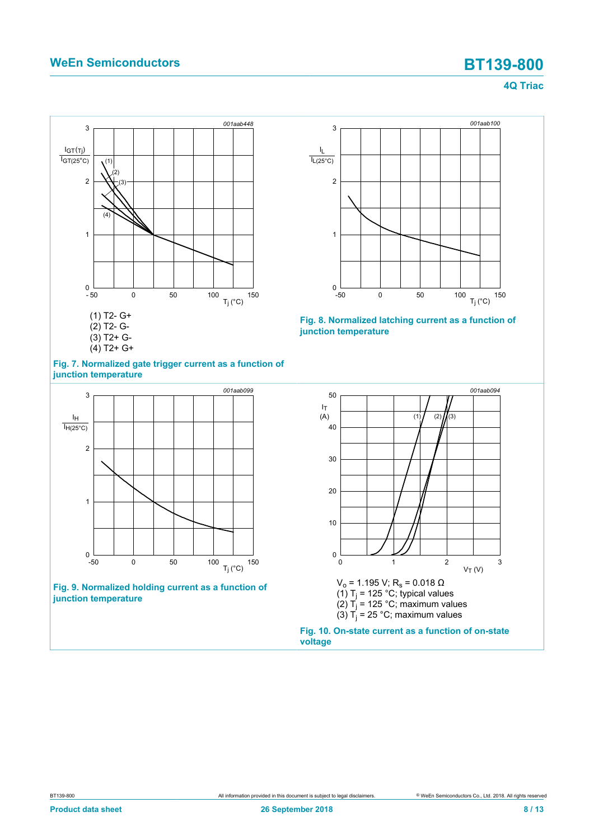<span id="page-7-0"></span>



<span id="page-7-1"></span>

**Fig. 9. Normalized holding current as a function of junction temperature**

<span id="page-7-3"></span>



<span id="page-7-2"></span>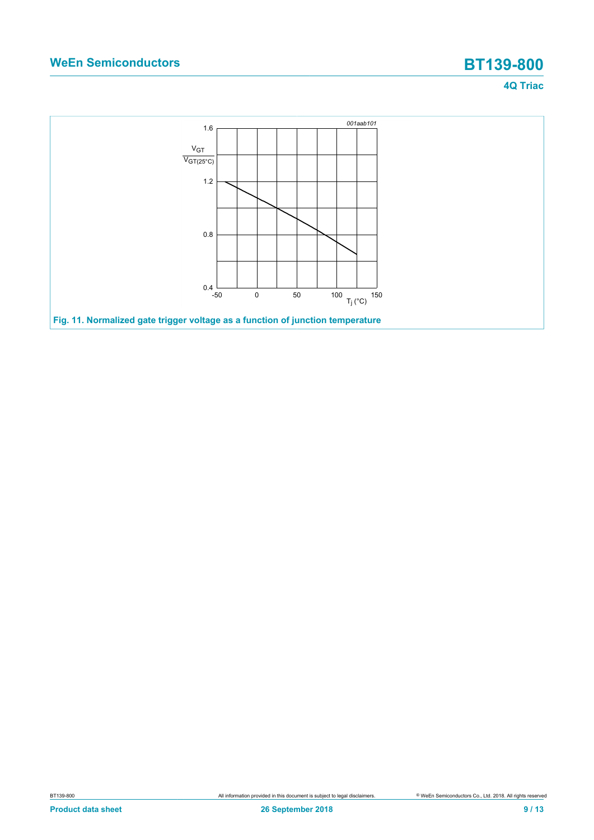<span id="page-8-0"></span>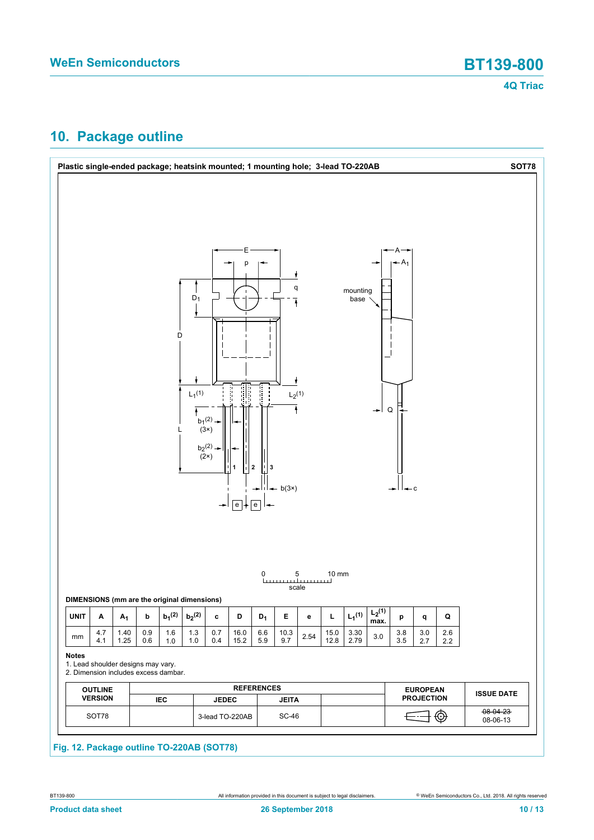## <span id="page-9-0"></span>**10. Package outline**

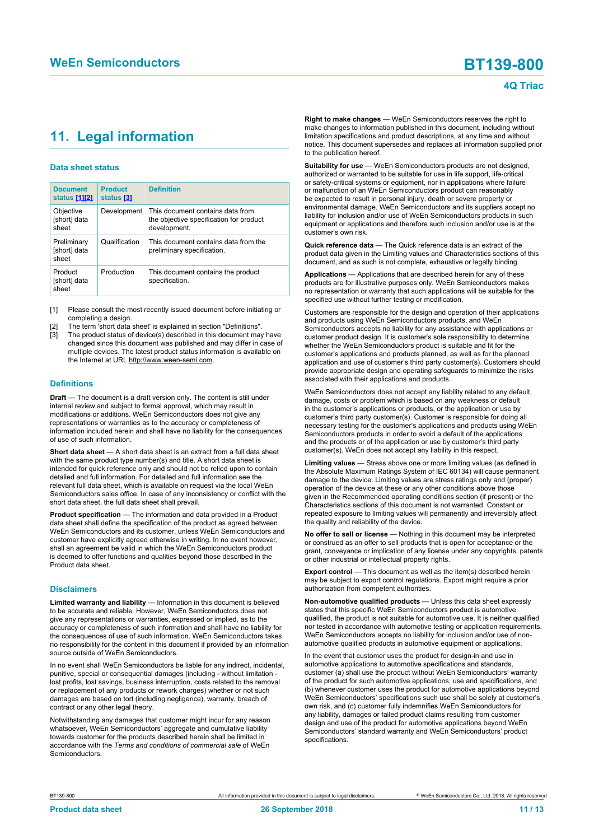# <span id="page-10-1"></span><span id="page-10-0"></span>**11. Legal information**

### **Data sheet status**

| <b>Document</b><br>status [1][2]     | <b>Product</b><br>status [3] | <b>Definition</b>                                                                           |
|--------------------------------------|------------------------------|---------------------------------------------------------------------------------------------|
| Objective<br>[short] data<br>sheet   | Development                  | This document contains data from<br>the objective specification for product<br>development. |
| Preliminary<br>[short] data<br>sheet | Qualification                | This document contains data from the<br>preliminary specification.                          |
| Product<br>[short] data<br>sheet     | Production                   | This document contains the product<br>specification.                                        |

[1] Please consult the most recently issued document before initiating or completing a design.

- The term 'short data sheet' is explained in section "Definitions".
- The product status of device(s) described in this document may have changed since this document was published and may differ in case of multiple devices. The latest product status information is available on the Internet at URL http://www.ween-semi.com.

### **Definitions**

**Draft** — The document is a draft version only. The content is still under internal review and subject to formal approval, which may result in modifications or additions. WeEn Semiconductors does not give any representations or warranties as to the accuracy or completeness of information included herein and shall have no liability for the consequences of use of such information.

**Short data sheet** — A short data sheet is an extract from a full data sheet with the same product type number(s) and title. A short data sheet is intended for quick reference only and should not be relied upon to contain detailed and full information. For detailed and full information see the relevant full data sheet, which is available on request via the local WeEn Semiconductors sales office. In case of any inconsistency or conflict with the short data sheet, the full data sheet shall prevail.

**Product specification** — The information and data provided in a Product data sheet shall define the specification of the product as agreed between WeEn Semiconductors and its customer, unless WeEn Semiconductors and customer have explicitly agreed otherwise in writing. In no event however, shall an agreement be valid in which the WeEn Semiconductors product is deemed to offer functions and qualities beyond those described in the Product data sheet.

### **Disclaimers**

**Limited warranty and liability** — Information in this document is believed to be accurate and reliable. However, WeEn Semiconductors does not give any representations or warranties, expressed or implied, as to the accuracy or completeness of such information and shall have no liability for the consequences of use of such information. WeEn Semiconductors takes no responsibility for the content in this document if provided by an information source outside of WeEn Semiconductors.

In no event shall WeEn Semiconductors be liable for any indirect, incidental, punitive, special or consequential damages (including - without limitation lost profits, lost savings, business interruption, costs related to the removal or replacement of any products or rework charges) whether or not such damages are based on tort (including negligence), warranty, breach of contract or any other legal theory.

Notwithstanding any damages that customer might incur for any reason whatsoever, WeEn Semiconductors' aggregate and cumulative liability towards customer for the products described herein shall be limited in accordance with the *Terms and conditions of commercial sale* of WeEn **Semiconductors** 

**Right to make changes** — WeEn Semiconductors reserves the right to make changes to information published in this document, including without limitation specifications and product descriptions, at any time and without notice. This document supersedes and replaces all information supplied prior to the publication hereof.

**Suitability for use** — WeEn Semiconductors products are not designed, authorized or warranted to be suitable for use in life support, life-critical or safety-critical systems or equipment, nor in applications where failure or malfunction of an WeEn Semiconductors product can reasonably be expected to result in personal injury, death or severe property or environmental damage. WeEn Semiconductors and its suppliers accept no liability for inclusion and/or use of WeEn Semiconductors products in such equipment or applications and therefore such inclusion and/or use is at the customer's own risk.

**Quick reference data** — The Quick reference data is an extract of the product data given in the Limiting values and Characteristics sections of this document, and as such is not complete, exhaustive or legally binding.

**Applications** — Applications that are described herein for any of these products are for illustrative purposes only. WeEn Semiconductors makes no representation or warranty that such applications will be suitable for the specified use without further testing or modification.

Customers are responsible for the design and operation of their applications and products using WeEn Semiconductors products, and WeEn Semiconductors accepts no liability for any assistance with applications or customer product design. It is customer's sole responsibility to determine whether the WeEn Semiconductors product is suitable and fit for the customer's applications and products planned, as well as for the planned application and use of customer's third party customer(s). Customers should provide appropriate design and operating safeguards to minimize the risks associated with their applications and products.

WeEn Semiconductors does not accept any liability related to any default, damage, costs or problem which is based on any weakness or default in the customer's applications or products, or the application or use by customer's third party customer(s). Customer is responsible for doing all necessary testing for the customer's applications and products using WeEn Semiconductors products in order to avoid a default of the applications and the products or of the application or use by customer's third party customer(s). WeEn does not accept any liability in this respect.

**Limiting values** — Stress above one or more limiting values (as defined in the Absolute Maximum Ratings System of IEC 60134) will cause permanent damage to the device. Limiting values are stress ratings only and (proper) operation of the device at these or any other conditions above those given in the Recommended operating conditions section (if present) or the Characteristics sections of this document is not warranted. Constant or repeated exposure to limiting values will permanently and irreversibly affect the quality and reliability of the device.

**No offer to sell or license** — Nothing in this document may be interpreted or construed as an offer to sell products that is open for acceptance or the grant, conveyance or implication of any license under any copyrights, patents or other industrial or intellectual property rights.

**Export control** — This document as well as the item(s) described herein may be subject to export control regulations. Export might require a prior authorization from competent authorities.

**Non-automotive qualified products** — Unless this data sheet expressly states that this specific WeEn Semiconductors product is automotive qualified, the product is not suitable for automotive use. It is neither qualified nor tested in accordance with automotive testing or application requirements. WeEn Semiconductors accepts no liability for inclusion and/or use of nonautomotive qualified products in automotive equipment or applications.

In the event that customer uses the product for design-in and use in automotive applications to automotive specifications and standards, customer (a) shall use the product without WeEn Semiconductors' warranty of the product for such automotive applications, use and specifications, and (b) whenever customer uses the product for automotive applications beyond WeEn Semiconductors' specifications such use shall be solely at customer's own risk, and (c) customer fully indemnifies WeEn Semiconductors for any liability, damages or failed product claims resulting from customer design and use of the product for automotive applications beyond WeEn Semiconductors' standard warranty and WeEn Semiconductors' product specifications.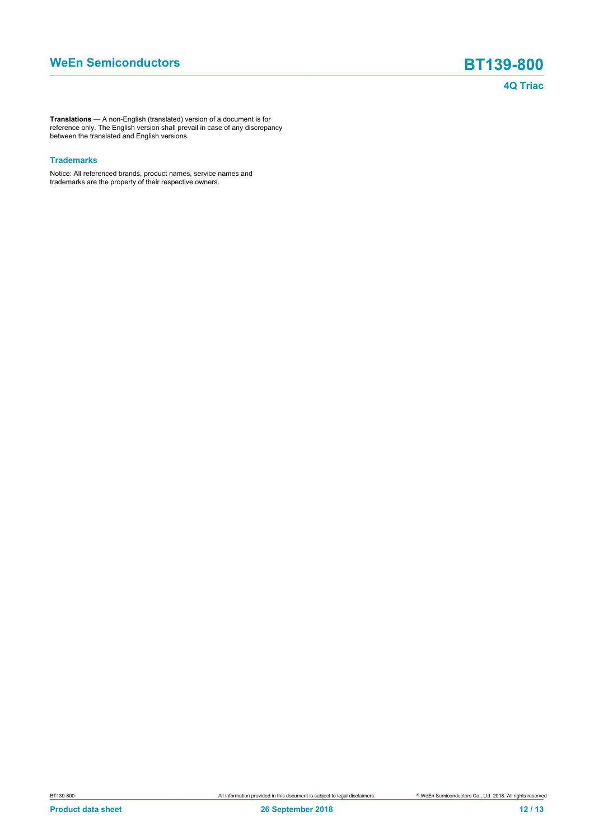**Translations** — A non-English (translated) version of a document is for reference only. The English version shall prevail in case of any discrepancy between the translated and English versions.

### **Trademarks**

Notice: All referenced brands, product names, service names and trademarks are the property of their respective owners.